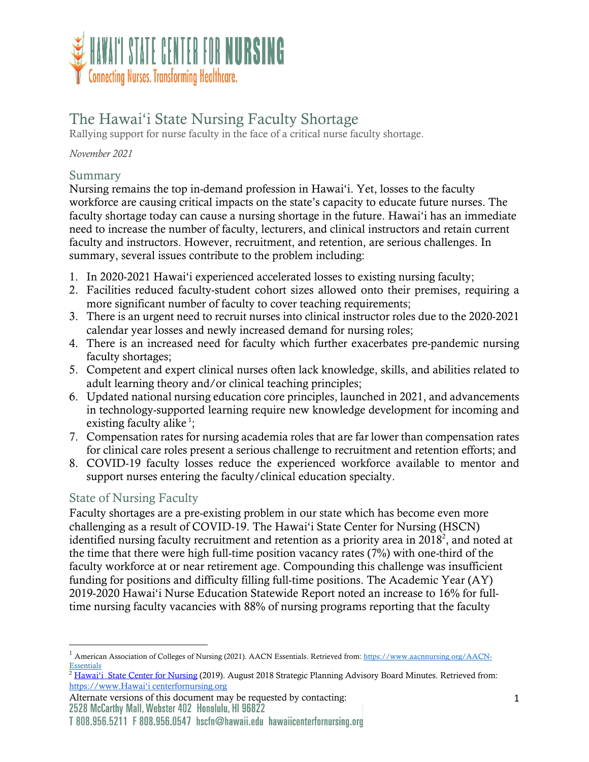

# The Hawai'i State Nursing Faculty Shortage

Rallying support for nurse faculty in the face of a critical nurse faculty shortage.

*November 2021*

## Summary

Nursing remains the top in-demand profession in Hawai'i. Yet, losses to the faculty workforce are causing critical impacts on the state's capacity to educate future nurses. The faculty shortage today can cause a nursing shortage in the future. Hawai'i has an immediate need to increase the number of faculty, lecturers, and clinical instructors and retain current faculty and instructors. However, recruitment, and retention, are serious challenges. In summary, several issues contribute to the problem including:

- 1. In 2020-2021 Hawai'i experienced accelerated losses to existing nursing faculty;
- 2. Facilities reduced faculty-student cohort sizes allowed onto their premises, requiring a more significant number of faculty to cover teaching requirements;
- 3. There is an urgent need to recruit nurses into clinical instructor roles due to the 2020-2021 calendar year losses and newly increased demand for nursing roles;
- 4. There is an increased need for faculty which further exacerbates pre-pandemic nursing faculty shortages;
- 5. Competent and expert clinical nurses often lack knowledge, skills, and abilities related to adult learning theory and/or clinical teaching principles;
- 6. Updated national nursing education core principles, launched in 2021, and advancements in technology-supported learning require new knowledge development for incoming and existing faculty alike<sup>1</sup>;
- 7. Compensation rates for nursing academia roles that are far lower than compensation rates for clinical care roles present a serious challenge to recruitment and retention efforts; and
- 8. COVID-19 faculty losses reduce the experienced workforce available to mentor and support nurses entering the faculty/clinical education specialty.

## State of Nursing Faculty

Faculty shortages are a pre-existing problem in our state which has become even more challenging as a result of COVID-19. The Hawai'i State Center for Nursing (HSCN) identified nursing faculty recruitment and retention as a priority area in  $2018^2$ , and noted at the time that there were high full-time position vacancy rates (7%) with one-third of the faculty workforce at or near retirement age. Compounding this challenge was insufficient funding for positions and difficulty filling full-time positions. The Academic Year (AY) 2019-2020 Hawai'i Nurse Education Statewide Report noted an increase to 16% for fulltime nursing faculty vacancies with 88% of nursing programs reporting that the faculty

Alternate versions of this document may be requested by contacting:<br>2528 McCarthy Mall, Webster 402 Honolulu, HI 96822

<sup>&</sup>lt;sup>1</sup> American Association of Colleges of Nursing (2021). AACN Essentials. Retrieved from: https://www.aacnnursing.org/AACN-**Essentials** 

<sup>&</sup>lt;sup>2</sup> Hawai'i State Center for Nursing (2019). August 2018 Strategic Planning Advisory Board Minutes. Retrieved from: https://www.Hawai'i centerfornursing.org

T 808.956.5211 F 808.956.0547 hscfn@hawaii.edu hawaiicenterfornursing.org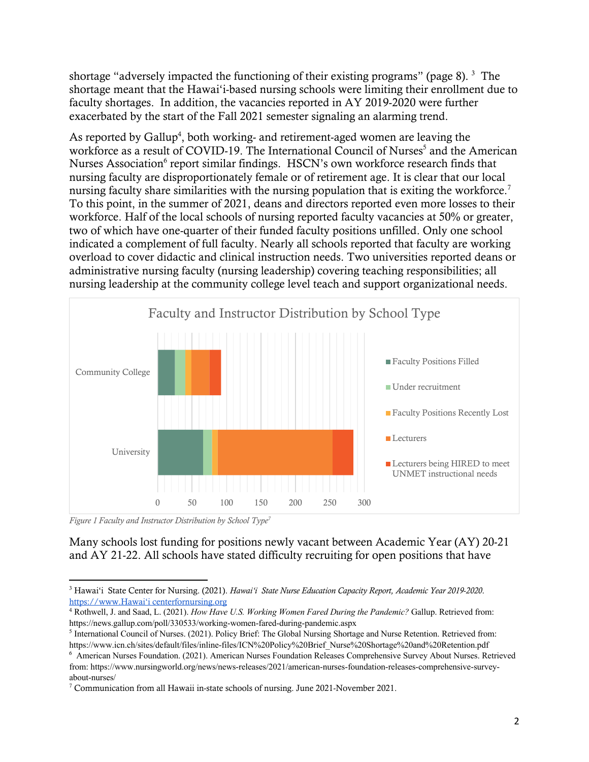shortage "adversely impacted the functioning of their existing programs" (page 8).  $3$  The shortage meant that the Hawai'i-based nursing schools were limiting their enrollment due to faculty shortages. In addition, the vacancies reported in AY 2019-2020 were further exacerbated by the start of the Fall 2021 semester signaling an alarming trend.

As reported by Gallup<sup>4</sup>, both working- and retirement-aged women are leaving the workforce as a result of COVID-19. The International Council of Nurses<sup>5</sup> and the American Nurses Association<sup>6</sup> report similar findings. HSCN's own workforce research finds that nursing faculty are disproportionately female or of retirement age. It is clear that our local nursing faculty share similarities with the nursing population that is exiting the workforce.<sup>7</sup> To this point, in the summer of 2021, deans and directors reported even more losses to their workforce. Half of the local schools of nursing reported faculty vacancies at 50% or greater, two of which have one-quarter of their funded faculty positions unfilled. Only one school indicated a complement of full faculty. Nearly all schools reported that faculty are working overload to cover didactic and clinical instruction needs. Two universities reported deans or administrative nursing faculty (nursing leadership) covering teaching responsibilities; all nursing leadership at the community college level teach and support organizational needs.



*Figure 1 Faculty and Instructor Distribution by School Type7*

#### Many schools lost funding for positions newly vacant between Academic Year (AY) 20-21 and AY 21-22. All schools have stated difficulty recruiting for open positions that have

<sup>3</sup> Hawai'i State Center for Nursing. (2021). *Hawai'i State Nurse Education Capacity Report, Academic Year 2019-2020*. https://www.Hawai'i centerfornursing.org

<sup>4</sup> Rothwell, J. and Saad, L. (2021). *How Have U.S. Working Women Fared During the Pandemic?* Gallup. Retrieved from: https://news.gallup.com/poll/330533/working-women-fared-during-pandemic.aspx

<sup>5</sup> International Council of Nurses. (2021). Policy Brief: The Global Nursing Shortage and Nurse Retention. Retrieved from: https://www.icn.ch/sites/default/files/inline-files/ICN%20Policy%20Brief\_Nurse%20Shortage%20and%20Retention.pdf

<sup>6</sup> American Nurses Foundation. (2021). American Nurses Foundation Releases Comprehensive Survey About Nurses. Retrieved from: https://www.nursingworld.org/news/news-releases/2021/american-nurses-foundation-releases-comprehensive-surveyabout-nurses/

<sup>7</sup> Communication from all Hawaii in-state schools of nursing. June 2021-November 2021.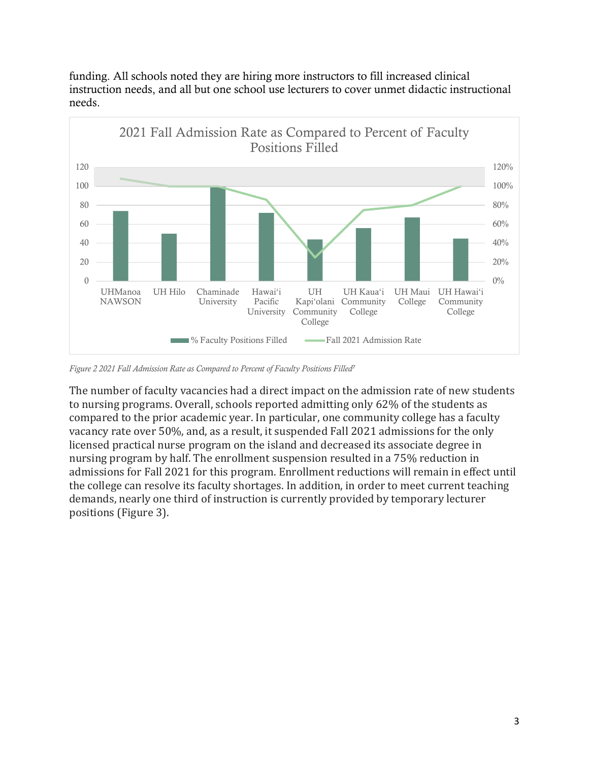

funding. All schools noted they are hiring more instructors to fill increased clinical instruction needs, and all but one school use lecturers to cover unmet didactic instructional needs.

*Figure 2 2021 Fall Admission Rate as Compared to Percent of Faculty Positions Filled<sup>7</sup>*

The number of faculty vacancies had a direct impact on the admission rate of new students to nursing programs. Overall, schools reported admitting only 62% of the students as compared to the prior academic year. In particular, one community college has a faculty vacancy rate over 50%, and, as a result, it suspended Fall 2021 admissions for the only licensed practical nurse program on the island and decreased its associate degree in nursing program by half. The enrollment suspension resulted in a 75% reduction in admissions for Fall 2021 for this program. Enrollment reductions will remain in effect until the college can resolve its faculty shortages. In addition, in order to meet current teaching demands, nearly one third of instruction is currently provided by temporary lecturer positions (Figure 3).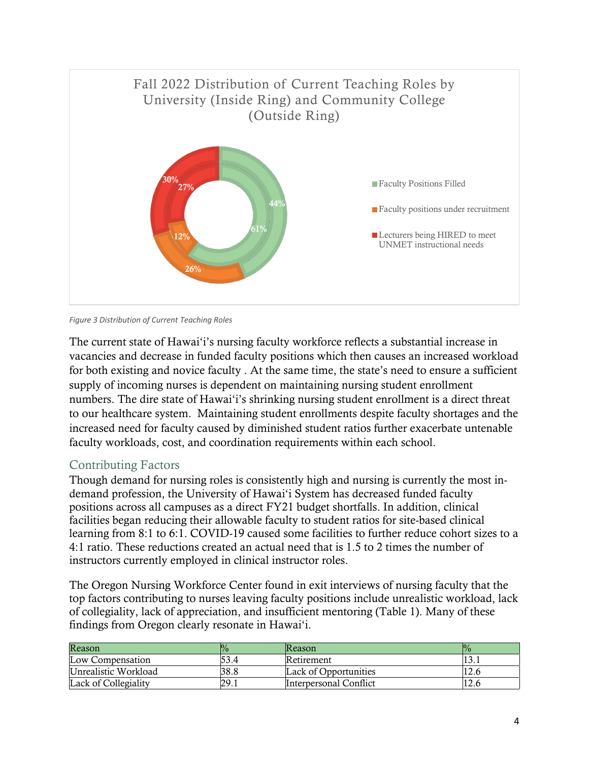

*Figure 3 Distribution of Current Teaching Roles*

The current state of Hawai'i's nursing faculty workforce reflects a substantial increase in vacancies and decrease in funded faculty positions which then causes an increased workload for both existing and novice faculty . At the same time, the state's need to ensure a sufficient supply of incoming nurses is dependent on maintaining nursing student enrollment numbers. The dire state of Hawai'i's shrinking nursing student enrollment is a direct threat to our healthcare system. Maintaining student enrollments despite faculty shortages and the increased need for faculty caused by diminished student ratios further exacerbate untenable faculty workloads, cost, and coordination requirements within each school.

### Contributing Factors

Though demand for nursing roles is consistently high and nursing is currently the most indemand profession, the University of Hawai'i System has decreased funded faculty positions across all campuses as a direct FY21 budget shortfalls. In addition, clinical facilities began reducing their allowable faculty to student ratios for site-based clinical learning from 8:1 to 6:1. COVID-19 caused some facilities to further reduce cohort sizes to a 4:1 ratio. These reductions created an actual need that is 1.5 to 2 times the number of instructors currently employed in clinical instructor roles.

The Oregon Nursing Workforce Center found in exit interviews of nursing faculty that the top factors contributing to nurses leaving faculty positions include unrealistic workload, lack of collegiality, lack of appreciation, and insufficient mentoring (Table 1). Many of these findings from Oregon clearly resonate in Hawai'i.

| Reason               |      | <b>Reason</b>                 | ‰    |
|----------------------|------|-------------------------------|------|
| Low Compensation     | 53.4 | Retirement                    | 13.1 |
| Unrealistic Workload | 38.8 | Lack of Opportunities         | 12.6 |
| Lack of Collegiality | 29.1 | <b>Interpersonal Conflict</b> |      |